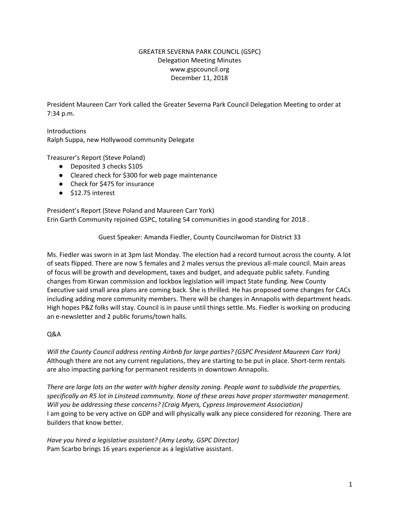## GREATER SEVERNA PARK COUNCIL (GSPC) Delegation Meeting Minutes www.gspcouncil.org December 11, 2018

President Maureen Carr York called the Greater Severna Park Council Delegation Meeting to order at 7:34 p.m.

**Introductions** Ralph Suppa, new Hollywood community Delegate

Treasurer's Report (Steve Poland)

- Deposited 3 checks \$105
- Cleared check for \$300 for web page maintenance
- Check for \$475 for insurance
- \$12.75 interest

President's Report (Steve Poland and Maureen Carr York) Erin Garth Community rejoined GSPC, totaling 54 communities in good standing for 2018 .

Guest Speaker: Amanda Fiedler, County Councilwoman for District 33

Ms. Fiedler was sworn in at 3pm last Monday. The election had a record turnout across the county. A lot of seats flipped. There are now 5 females and 2 males versus the previous all-male council. Main areas of focus will be growth and development, taxes and budget, and adequate public safety. Funding changes from Kirwan commission and lockbox legislation will impact State funding. New County Executive said small area plans are coming back. She is thrilled. He has proposed some changes for CACs including adding more community members. There will be changes in Annapolis with department heads. High hopes P&Z folks will stay. Council is in pause until things settle. Ms. Fiedler is working on producing an e-newsletter and 2 public forums/town halls.

#### Q&A

*Will the County Council address renting Airbnb for large parties? (GSPC President Maureen Carr York)* Although there are not any current regulations, they are starting to be put in place. Short-term rentals are also impacting parking for permanent residents in downtown Annapolis.

*There are large lots on the water with higher density zoning. People want to subdivide the properties, specifically an R5 lot in Linstead community. None of these areas have proper stormwater management. Will you be addressing these concerns? (Craig Myers, Cypress Improvement Association)* I am going to be very active on GDP and will physically walk any piece considered for rezoning. There are builders that know better.

*Have you hired a legislative assistant? (Amy Leahy, GSPC Director)* Pam Scarbo brings 16 years experience as a legislative assistant.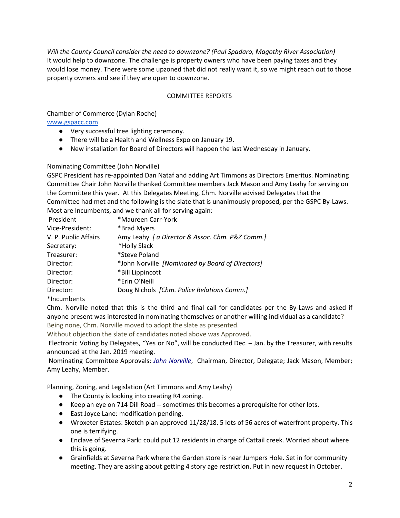*Will the County Council consider the need to downzone? (Paul Spadaro, Magothy River Association)* It would help to downzone. The challenge is property owners who have been paying taxes and they would lose money. There were some upzoned that did not really want it, so we might reach out to those property owners and see if they are open to downzone.

### COMMITTEE REPORTS

### Chamber of Commerce (Dylan Roche)

#### [www.gspacc.com](http://www.gspacc.com/)

- Very successful tree lighting ceremony.
- There will be a Health and Wellness Expo on January 19.
- New installation for Board of Directors will happen the last Wednesday in January.

#### Nominating Committee (John Norville)

GSPC President has re-appointed Dan Nataf and adding Art Timmons as Directors Emeritus. Nominating Committee Chair John Norville thanked Committee members Jack Mason and Amy Leahy for serving on the Committee this year. At this Delegates Meeting, Chm. Norville advised Delegates that the Committee had met and the following is the slate that is unanimously proposed, per the GSPC By-Laws. Most are Incumbents, and we thank all for serving again:

| President            | *Maureen Carr-York                               |
|----------------------|--------------------------------------------------|
| Vice-President:      | *Brad Myers                                      |
| V. P. Public Affairs | Amy Leahy   a Director & Assoc. Chm. P&Z Comm.]  |
| Secretary:           | *Holly Slack                                     |
| Treasurer:           | *Steve Poland                                    |
| Director:            | *John Norville [Nominated by Board of Directors] |
| Director:            | *Bill Lippincott                                 |
| Director:            | *Erin O'Neill                                    |
| Director:            | Doug Nichols [Chm. Police Relations Comm.]       |
| *Incumbents          |                                                  |

Chm. Norville noted that this is the third and final call for candidates per the By-Laws and asked if anyone present was interested in nominating themselves or another willing individual as a candidate? Being none, Chm. Norville moved to adopt the slate as presented.

Without objection the slate of candidates noted above was Approved.

Electronic Voting by Delegates, "Yes or No", will be conducted Dec. – Jan. by the Treasurer, with results announced at the Jan. 2019 meeting.

Nominating Committee Approvals: *John Norville*, Chairman, Director, Delegate; Jack Mason, Member; Amy Leahy, Member.

Planning, Zoning, and Legislation (Art Timmons and Amy Leahy)

- The County is looking into creating R4 zoning.
- Keep an eye on 714 Dill Road -- sometimes this becomes a prerequisite for other lots.
- East Joyce Lane: modification pending.
- Wroxeter Estates: Sketch plan approved 11/28/18. 5 lots of 56 acres of waterfront property. This one is terrifying.
- Enclave of Severna Park: could put 12 residents in charge of Cattail creek. Worried about where this is going.
- Grainfields at Severna Park where the Garden store is near Jumpers Hole. Set in for community meeting. They are asking about getting 4 story age restriction. Put in new request in October.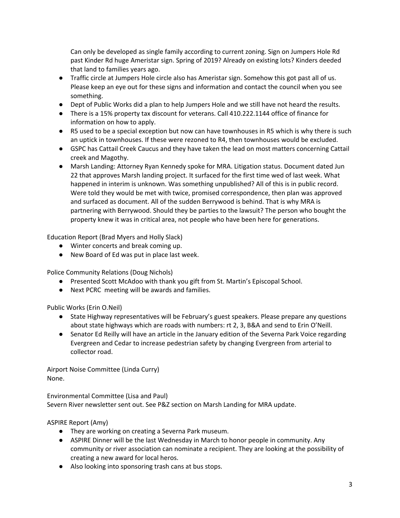Can only be developed as single family according to current zoning. Sign on Jumpers Hole Rd past Kinder Rd huge Ameristar sign. Spring of 2019? Already on existing lots? Kinders deeded that land to families years ago.

- Traffic circle at Jumpers Hole circle also has Ameristar sign. Somehow this got past all of us. Please keep an eye out for these signs and information and contact the council when you see something.
- Dept of Public Works did a plan to help Jumpers Hole and we still have not heard the results.
- There is a 15% property tax discount for veterans. Call 410.222.1144 office of finance for information on how to apply.
- R5 used to be a special exception but now can have townhouses in R5 which is why there is such an uptick in townhouses. If these were rezoned to R4, then townhouses would be excluded.
- GSPC has Cattail Creek Caucus and they have taken the lead on most matters concerning Cattail creek and Magothy.
- Marsh Landing: Attorney Ryan Kennedy spoke for MRA. Litigation status. Document dated Jun 22 that approves Marsh landing project. It surfaced for the first time wed of last week. What happened in interim is unknown. Was something unpublished? All of this is in public record. Were told they would be met with twice, promised correspondence, then plan was approved and surfaced as document. All of the sudden Berrywood is behind. That is why MRA is partnering with Berrywood. Should they be parties to the lawsuit? The person who bought the property knew it was in critical area, not people who have been here for generations.

Education Report (Brad Myers and Holly Slack)

- Winter concerts and break coming up.
- New Board of Ed was put in place last week.

Police Community Relations (Doug Nichols)

- Presented Scott McAdoo with thank you gift from St. Martin's Episcopal School.
- Next PCRC meeting will be awards and families.

Public Works (Erin O.Neil)

- State Highway representatives will be February's guest speakers. Please prepare any questions about state highways which are roads with numbers: rt 2, 3, B&A and send to Erin O'Neill.
- Senator Ed Reilly will have an article in the January edition of the Severna Park Voice regarding Evergreen and Cedar to increase pedestrian safety by changing Evergreen from arterial to collector road.

Airport Noise Committee (Linda Curry) None.

Environmental Committee (Lisa and Paul) Severn River newsletter sent out. See P&Z section on Marsh Landing for MRA update.

# ASPIRE Report (Amy)

- They are working on creating a Severna Park museum.
- ASPIRE Dinner will be the last Wednesday in March to honor people in community. Any community or river association can nominate a recipient. They are looking at the possibility of creating a new award for local heros.
- Also looking into sponsoring trash cans at bus stops.